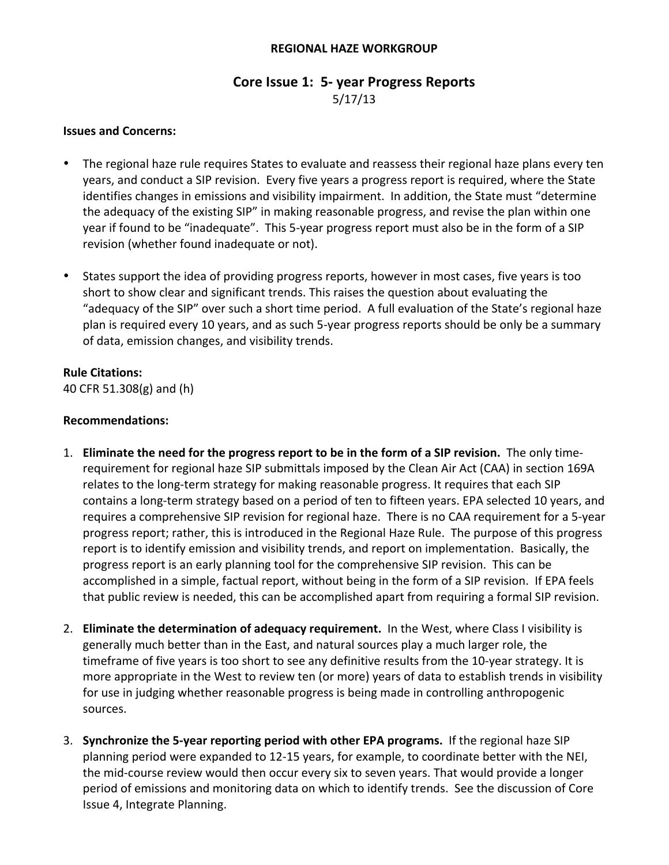#### **REGIONAL HAZE WORKGROUP**

## **Core Issue 1: 5- year Progress Reports**

5/17/13

#### **Issues and Concerns:**

- The regional haze rule requires States to evaluate and reassess their regional haze plans every ten years, and conduct a SIP revision. Every five years a progress report is required, where the State identifies changes in emissions and visibility impairment. In addition, the State must "determine the adequacy of the existing SIP" in making reasonable progress, and revise the plan within one year if found to be "inadequate". This 5-year progress report must also be in the form of a SIP revision (whether found inadequate or not).
- States support the idea of providing progress reports, however in most cases, five years is too short to show clear and significant trends. This raises the question about evaluating the "adequacy of the SIP" over such a short time period. A full evaluation of the State's regional haze plan is required every 10 years, and as such 5-year progress reports should be only be a summary of data, emission changes, and visibility trends.

## **Rule Citations:**

40 CFR 51.308(g) and (h)

#### **Recommendations:**

- 1. **Eliminate the need for the progress report to be in the form of a SIP revision. The only time**requirement for regional haze SIP submittals imposed by the Clean Air Act (CAA) in section 169A relates to the long-term strategy for making reasonable progress. It requires that each SIP contains a long-term strategy based on a period of ten to fifteen years. EPA selected 10 years, and requires a comprehensive SIP revision for regional haze. There is no CAA requirement for a 5-year progress report; rather, this is introduced in the Regional Haze Rule. The purpose of this progress report is to identify emission and visibility trends, and report on implementation. Basically, the progress report is an early planning tool for the comprehensive SIP revision. This can be accomplished in a simple, factual report, without being in the form of a SIP revision. If EPA feels that public review is needed, this can be accomplished apart from requiring a formal SIP revision.
- 2. Eliminate the determination of adequacy requirement. In the West, where Class I visibility is generally much better than in the East, and natural sources play a much larger role, the timeframe of five years is too short to see any definitive results from the 10-year strategy. It is more appropriate in the West to review ten (or more) years of data to establish trends in visibility for use in judging whether reasonable progress is being made in controlling anthropogenic sources.
- 3. **Synchronize the 5-year reporting period with other EPA programs.** If the regional haze SIP planning period were expanded to 12-15 years, for example, to coordinate better with the NEI, the mid-course review would then occur every six to seven years. That would provide a longer period of emissions and monitoring data on which to identify trends. See the discussion of Core Issue 4, Integrate Planning.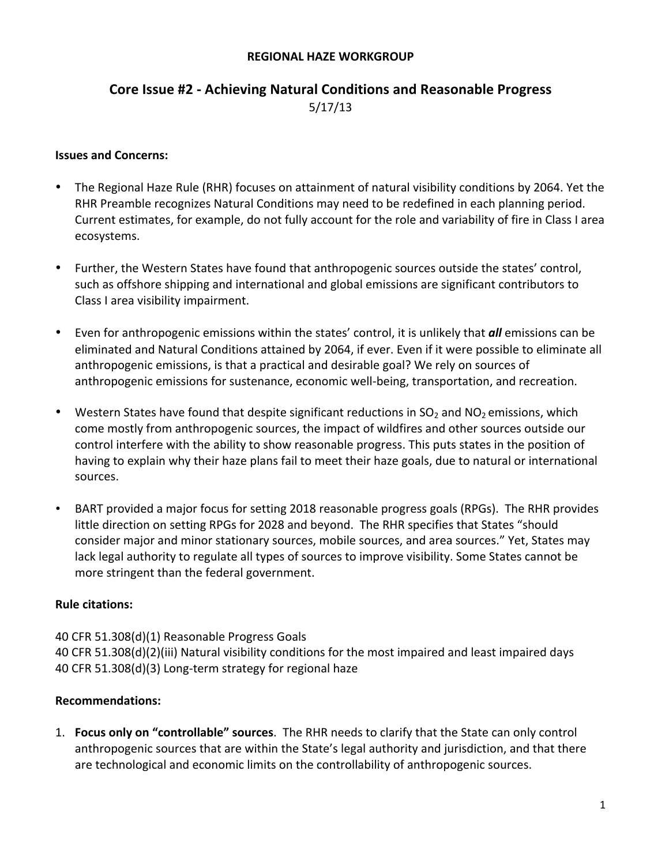#### **REGIONAL HAZE WORKGROUP**

## **Core Issue #2 - Achieving Natural Conditions and Reasonable Progress** 5/17/13

#### **Issues and Concerns:**

- The Regional Haze Rule (RHR) focuses on attainment of natural visibility conditions by 2064. Yet the RHR Preamble recognizes Natural Conditions may need to be redefined in each planning period. Current estimates, for example, do not fully account for the role and variability of fire in Class I area ecosystems.
- Further, the Western States have found that anthropogenic sources outside the states' control, such as offshore shipping and international and global emissions are significant contributors to Class I area visibility impairment.
- Even for anthropogenic emissions within the states' control, it is unlikely that *all* emissions can be eliminated and Natural Conditions attained by 2064, if ever. Even if it were possible to eliminate all anthropogenic emissions, is that a practical and desirable goal? We rely on sources of anthropogenic emissions for sustenance, economic well-being, transportation, and recreation.
- Western States have found that despite significant reductions in  $SO_2$  and  $NO_2$  emissions, which come mostly from anthropogenic sources, the impact of wildfires and other sources outside our control interfere with the ability to show reasonable progress. This puts states in the position of having to explain why their haze plans fail to meet their haze goals, due to natural or international sources.
- BART provided a major focus for setting 2018 reasonable progress goals (RPGs). The RHR provides little direction on setting RPGs for 2028 and beyond. The RHR specifies that States "should consider major and minor stationary sources, mobile sources, and area sources." Yet, States may lack legal authority to regulate all types of sources to improve visibility. Some States cannot be more stringent than the federal government.

#### **Rule citations:**

40 CFR 51.308(d)(1) Reasonable Progress Goals 40 CFR 51.308(d)(2)(iii) Natural visibility conditions for the most impaired and least impaired days 40 CFR 51.308(d)(3) Long-term strategy for regional haze

## **Recommendations:**

1. **Focus only on "controllable" sources**. The RHR needs to clarify that the State can only control anthropogenic sources that are within the State's legal authority and jurisdiction, and that there are technological and economic limits on the controllability of anthropogenic sources.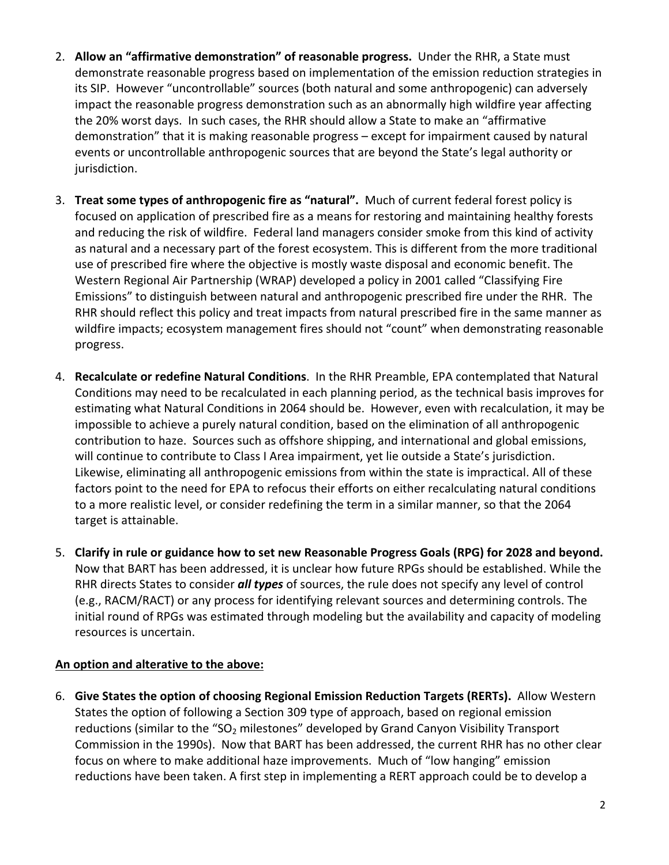- 2. Allow an "affirmative demonstration" of reasonable progress. Under the RHR, a State must demonstrate reasonable progress based on implementation of the emission reduction strategies in its SIP. However "uncontrollable" sources (both natural and some anthropogenic) can adversely impact the reasonable progress demonstration such as an abnormally high wildfire year affecting the 20% worst days. In such cases, the RHR should allow a State to make an "affirmative demonstration" that it is making reasonable progress – except for impairment caused by natural events or uncontrollable anthropogenic sources that are beyond the State's legal authority or jurisdiction.
- **3. Treat some types of anthropogenic fire as "natural".** Much of current federal forest policy is focused on application of prescribed fire as a means for restoring and maintaining healthy forests and reducing the risk of wildfire. Federal land managers consider smoke from this kind of activity as natural and a necessary part of the forest ecosystem. This is different from the more traditional use of prescribed fire where the objective is mostly waste disposal and economic benefit. The Western Regional Air Partnership (WRAP) developed a policy in 2001 called "Classifying Fire Emissions" to distinguish between natural and anthropogenic prescribed fire under the RHR. The RHR should reflect this policy and treat impacts from natural prescribed fire in the same manner as wildfire impacts; ecosystem management fires should not "count" when demonstrating reasonable progress.
- 4. **Recalculate or redefine Natural Conditions**. In the RHR Preamble, EPA contemplated that Natural Conditions may need to be recalculated in each planning period, as the technical basis improves for estimating what Natural Conditions in 2064 should be. However, even with recalculation, it may be impossible to achieve a purely natural condition, based on the elimination of all anthropogenic contribution to haze. Sources such as offshore shipping, and international and global emissions, will continue to contribute to Class I Area impairment, yet lie outside a State's jurisdiction. Likewise, eliminating all anthropogenic emissions from within the state is impractical. All of these factors point to the need for EPA to refocus their efforts on either recalculating natural conditions to a more realistic level, or consider redefining the term in a similar manner, so that the 2064 target is attainable.
- 5. Clarify in rule or guidance how to set new Reasonable Progress Goals (RPG) for 2028 and beyond. Now that BART has been addressed, it is unclear how future RPGs should be established. While the RHR directs States to consider *all types* of sources, the rule does not specify any level of control (e.g., RACM/RACT) or any process for identifying relevant sources and determining controls. The initial round of RPGs was estimated through modeling but the availability and capacity of modeling resources is uncertain.

## An option and alterative to the above:

6. Give States the option of choosing Regional Emission Reduction Targets (RERTs). Allow Western States the option of following a Section 309 type of approach, based on regional emission reductions (similar to the "SO<sub>2</sub> milestones" developed by Grand Canyon Visibility Transport Commission in the 1990s). Now that BART has been addressed, the current RHR has no other clear focus on where to make additional haze improvements. Much of "low hanging" emission reductions have been taken. A first step in implementing a RERT approach could be to develop a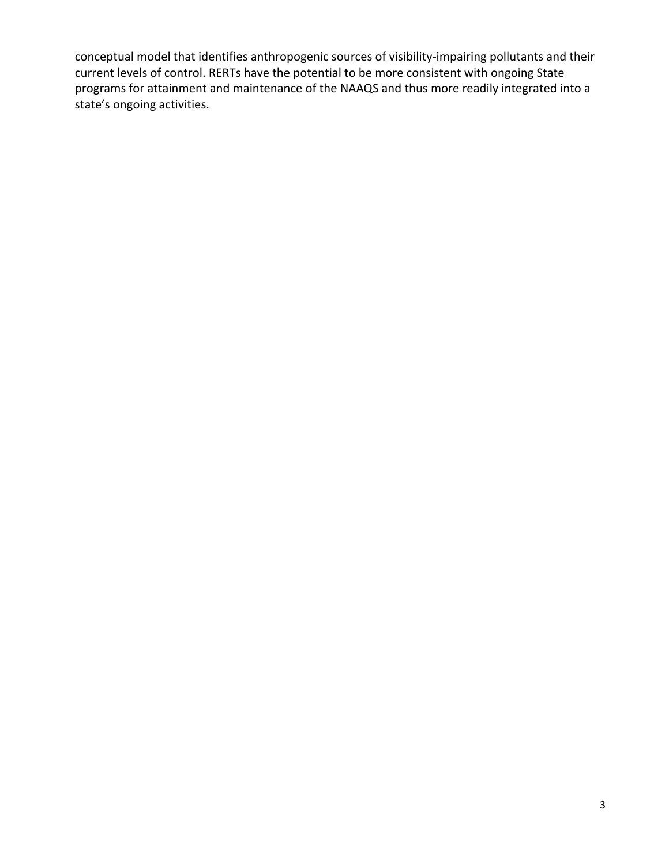conceptual model that identifies anthropogenic sources of visibility-impairing pollutants and their current levels of control. RERTs have the potential to be more consistent with ongoing State programs for attainment and maintenance of the NAAQS and thus more readily integrated into a state's ongoing activities.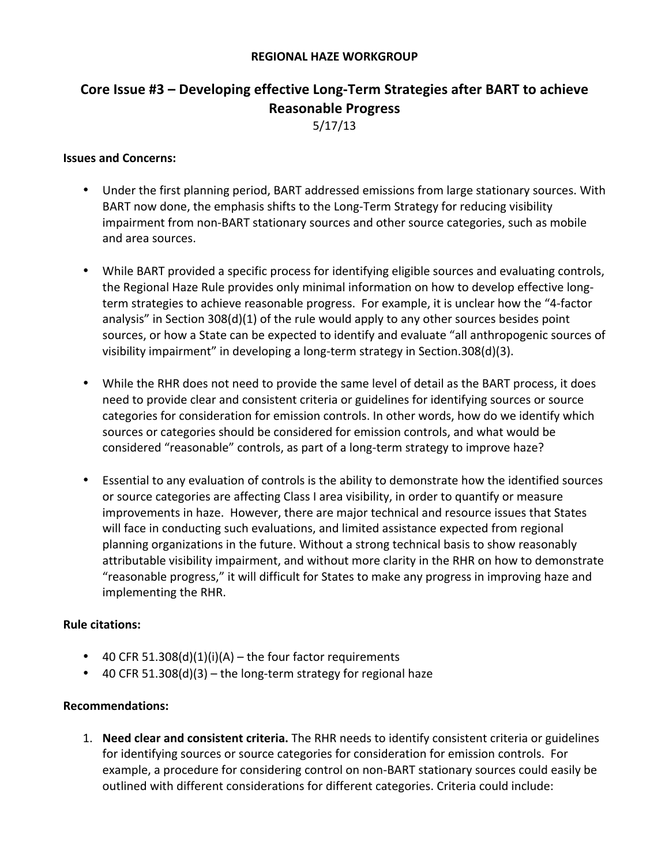#### **REGIONAL HAZE WORKGROUP**

# **Core Issue #3 – Developing effective Long-Term Strategies after BART to achieve Reasonable Progress**

5/17/13

#### **Issues and Concerns:**

- Under the first planning period, BART addressed emissions from large stationary sources. With BART now done, the emphasis shifts to the Long-Term Strategy for reducing visibility impairment from non-BART stationary sources and other source categories, such as mobile and area sources.
- While BART provided a specific process for identifying eligible sources and evaluating controls, the Regional Haze Rule provides only minimal information on how to develop effective longterm strategies to achieve reasonable progress. For example, it is unclear how the "4-factor analysis" in Section  $308(d)(1)$  of the rule would apply to any other sources besides point sources, or how a State can be expected to identify and evaluate "all anthropogenic sources of visibility impairment" in developing a long-term strategy in Section.308(d)(3).
- While the RHR does not need to provide the same level of detail as the BART process, it does need to provide clear and consistent criteria or guidelines for identifying sources or source categories for consideration for emission controls. In other words, how do we identify which sources or categories should be considered for emission controls, and what would be considered "reasonable" controls, as part of a long-term strategy to improve haze?
- Essential to any evaluation of controls is the ability to demonstrate how the identified sources or source categories are affecting Class I area visibility, in order to quantify or measure improvements in haze. However, there are major technical and resource issues that States will face in conducting such evaluations, and limited assistance expected from regional planning organizations in the future. Without a strong technical basis to show reasonably attributable visibility impairment, and without more clarity in the RHR on how to demonstrate "reasonable progress," it will difficult for States to make any progress in improving haze and implementing the RHR.

#### **Rule citations:**

- 40 CFR 51.308(d)(1)(i)(A) the four factor requirements
- 40 CFR 51.308(d)(3) the long-term strategy for regional haze

#### **Recommendations:**

1. **Need clear and consistent criteria.** The RHR needs to identify consistent criteria or guidelines for identifying sources or source categories for consideration for emission controls. For example, a procedure for considering control on non-BART stationary sources could easily be outlined with different considerations for different categories. Criteria could include: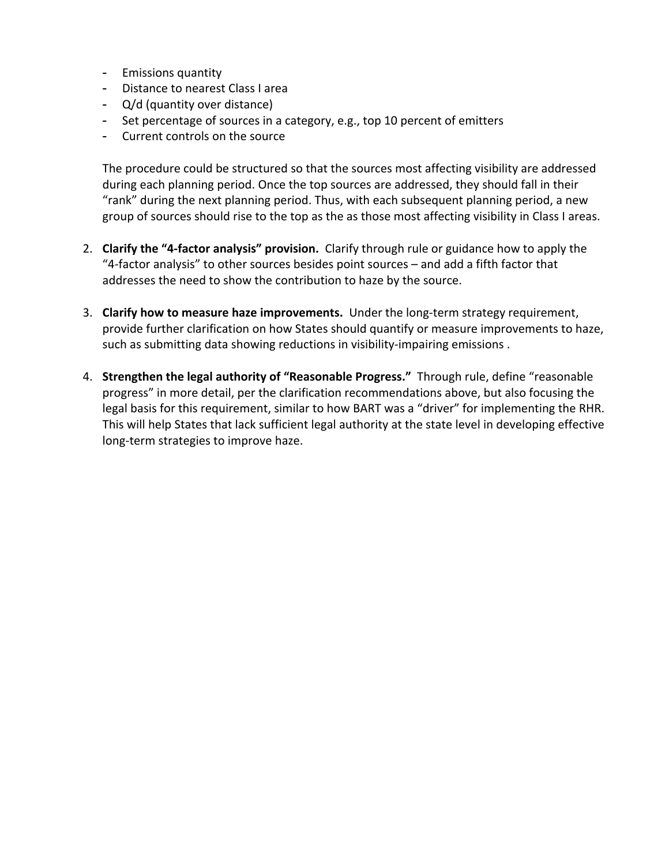- Emissions quantity
- Distance to nearest Class I area
- $-Q/d$  (quantity over distance)
- Set percentage of sources in a category, e.g., top 10 percent of emitters
- Current controls on the source

The procedure could be structured so that the sources most affecting visibility are addressed during each planning period. Once the top sources are addressed, they should fall in their "rank" during the next planning period. Thus, with each subsequent planning period, a new group of sources should rise to the top as the as those most affecting visibility in Class I areas.

- 2. **Clarify the "4-factor analysis" provision.** Clarify through rule or guidance how to apply the "4-factor analysis" to other sources besides point sources – and add a fifth factor that addresses the need to show the contribution to haze by the source.
- 3. Clarify how to measure haze improvements. Under the long-term strategy requirement, provide further clarification on how States should quantify or measure improvements to haze, such as submitting data showing reductions in visibility-impairing emissions.
- 4. Strengthen the legal authority of "Reasonable Progress." Through rule, define "reasonable progress" in more detail, per the clarification recommendations above, but also focusing the legal basis for this requirement, similar to how BART was a "driver" for implementing the RHR. This will help States that lack sufficient legal authority at the state level in developing effective long-term strategies to improve haze.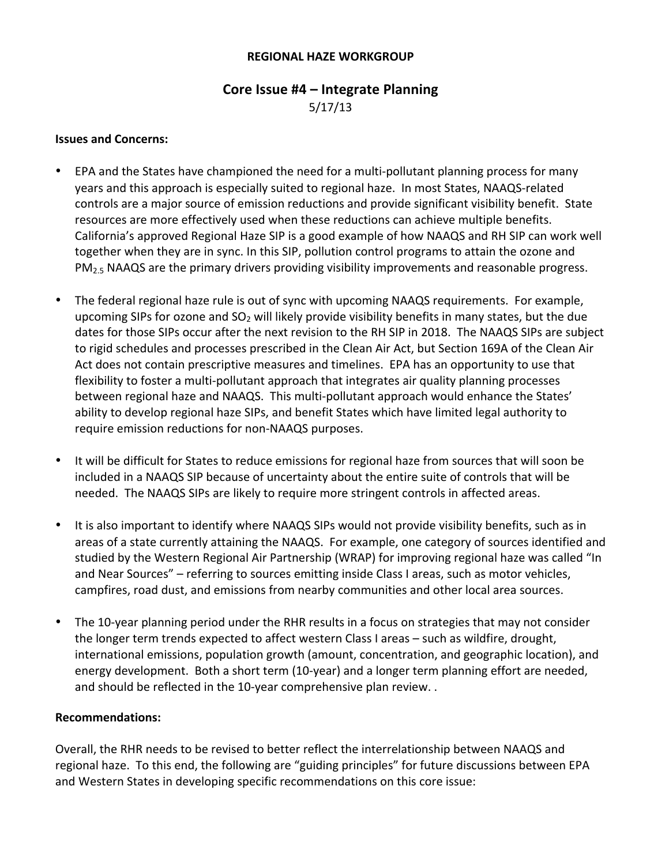#### **REGIONAL HAZE WORKGROUP**

# **Core Issue #4 – Integrate Planning**

5/17/13

#### **Issues and Concerns:**

- EPA and the States have championed the need for a multi-pollutant planning process for many years and this approach is especially suited to regional haze. In most States, NAAQS-related controls are a major source of emission reductions and provide significant visibility benefit. State resources are more effectively used when these reductions can achieve multiple benefits. California's approved Regional Haze SIP is a good example of how NAAQS and RH SIP can work well together when they are in sync. In this SIP, pollution control programs to attain the ozone and  $PM<sub>2.5</sub> NAAQS$  are the primary drivers providing visibility improvements and reasonable progress.
- The federal regional haze rule is out of sync with upcoming NAAQS requirements. For example, upcoming SIPs for ozone and  $SO<sub>2</sub>$  will likely provide visibility benefits in many states, but the due dates for those SIPs occur after the next revision to the RH SIP in 2018. The NAAQS SIPs are subject to rigid schedules and processes prescribed in the Clean Air Act, but Section 169A of the Clean Air Act does not contain prescriptive measures and timelines. EPA has an opportunity to use that flexibility to foster a multi-pollutant approach that integrates air quality planning processes between regional haze and NAAQS. This multi-pollutant approach would enhance the States' ability to develop regional haze SIPs, and benefit States which have limited legal authority to require emission reductions for non-NAAQS purposes.
- It will be difficult for States to reduce emissions for regional haze from sources that will soon be included in a NAAQS SIP because of uncertainty about the entire suite of controls that will be needed. The NAAQS SIPs are likely to require more stringent controls in affected areas.
- It is also important to identify where NAAQS SIPs would not provide visibility benefits, such as in areas of a state currently attaining the NAAQS. For example, one category of sources identified and studied by the Western Regional Air Partnership (WRAP) for improving regional haze was called "In and Near Sources" – referring to sources emitting inside Class I areas, such as motor vehicles, campfires, road dust, and emissions from nearby communities and other local area sources.
- The 10-year planning period under the RHR results in a focus on strategies that may not consider the longer term trends expected to affect western Class I areas – such as wildfire, drought, international emissions, population growth (amount, concentration, and geographic location), and energy development. Both a short term (10-year) and a longer term planning effort are needed, and should be reflected in the 10-year comprehensive plan review..

#### **Recommendations:**

Overall, the RHR needs to be revised to better reflect the interrelationship between NAAQS and regional haze. To this end, the following are "guiding principles" for future discussions between EPA and Western States in developing specific recommendations on this core issue: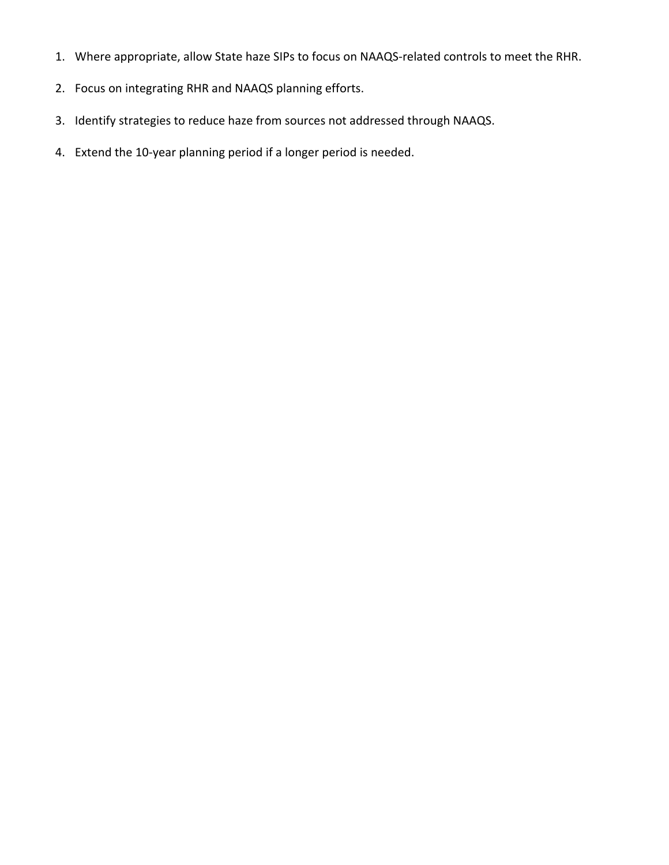- 1. Where appropriate, allow State haze SIPs to focus on NAAQS-related controls to meet the RHR.
- 2. Focus on integrating RHR and NAAQS planning efforts.
- 3. Identify strategies to reduce haze from sources not addressed through NAAQS.
- 4. Extend the 10-year planning period if a longer period is needed.